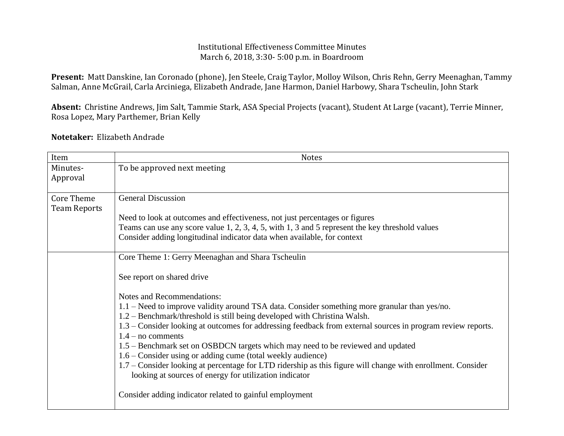## Institutional Effectiveness Committee Minutes March 6, 2018, 3:30- 5:00 p.m. in Boardroom

**Present:** Matt Danskine, Ian Coronado (phone), Jen Steele, Craig Taylor, Molloy Wilson, Chris Rehn, Gerry Meenaghan, Tammy Salman, Anne McGrail, Carla Arciniega, Elizabeth Andrade, Jane Harmon, Daniel Harbowy, Shara Tscheulin, John Stark

**Absent:** Christine Andrews, Jim Salt, Tammie Stark, ASA Special Projects (vacant), Student At Large (vacant), Terrie Minner, Rosa Lopez, Mary Parthemer, Brian Kelly

## **Notetaker:** Elizabeth Andrade

| Item                                     | <b>Notes</b>                                                                                                                                                              |
|------------------------------------------|---------------------------------------------------------------------------------------------------------------------------------------------------------------------------|
| Minutes-                                 | To be approved next meeting                                                                                                                                               |
| Approval                                 |                                                                                                                                                                           |
| <b>Core Theme</b><br><b>Team Reports</b> | <b>General Discussion</b>                                                                                                                                                 |
|                                          | Need to look at outcomes and effectiveness, not just percentages or figures                                                                                               |
|                                          | Teams can use any score value 1, 2, 3, 4, 5, with 1, 3 and 5 represent the key threshold values                                                                           |
|                                          | Consider adding longitudinal indicator data when available, for context                                                                                                   |
|                                          | Core Theme 1: Gerry Meenaghan and Shara Tscheulin                                                                                                                         |
|                                          | See report on shared drive                                                                                                                                                |
|                                          | Notes and Recommendations:                                                                                                                                                |
|                                          | 1.1 – Need to improve validity around TSA data. Consider something more granular than yes/no.<br>1.2 – Benchmark/threshold is still being developed with Christina Walsh. |
|                                          | 1.3 – Consider looking at outcomes for addressing feedback from external sources in program review reports.<br>$1.4 - no$ comments                                        |
|                                          | 1.5 – Benchmark set on OSBDCN targets which may need to be reviewed and updated                                                                                           |
|                                          | 1.6 – Consider using or adding cume (total weekly audience)                                                                                                               |
|                                          | 1.7 – Consider looking at percentage for LTD ridership as this figure will change with enrollment. Consider<br>looking at sources of energy for utilization indicator     |
|                                          | Consider adding indicator related to gainful employment                                                                                                                   |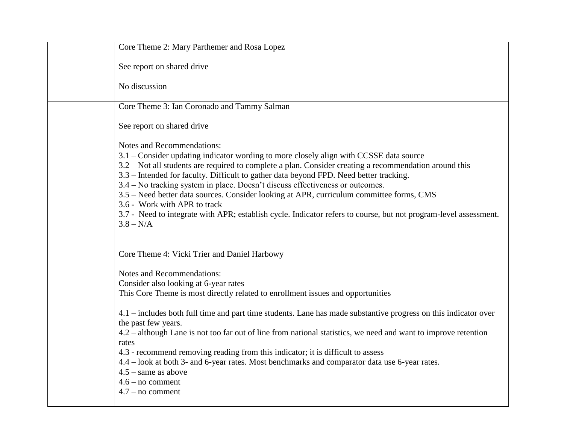| Core Theme 2: Mary Parthemer and Rosa Lopez                                                                                                                                                                                                                                                                                                                                                                                                                                                                                                                                                                                                                              |
|--------------------------------------------------------------------------------------------------------------------------------------------------------------------------------------------------------------------------------------------------------------------------------------------------------------------------------------------------------------------------------------------------------------------------------------------------------------------------------------------------------------------------------------------------------------------------------------------------------------------------------------------------------------------------|
| See report on shared drive                                                                                                                                                                                                                                                                                                                                                                                                                                                                                                                                                                                                                                               |
| No discussion                                                                                                                                                                                                                                                                                                                                                                                                                                                                                                                                                                                                                                                            |
| Core Theme 3: Ian Coronado and Tammy Salman                                                                                                                                                                                                                                                                                                                                                                                                                                                                                                                                                                                                                              |
| See report on shared drive                                                                                                                                                                                                                                                                                                                                                                                                                                                                                                                                                                                                                                               |
| Notes and Recommendations:<br>3.1 – Consider updating indicator wording to more closely align with CCSSE data source<br>3.2 – Not all students are required to complete a plan. Consider creating a recommendation around this<br>3.3 - Intended for faculty. Difficult to gather data beyond FPD. Need better tracking.<br>3.4 – No tracking system in place. Doesn't discuss effectiveness or outcomes.<br>3.5 – Need better data sources. Consider looking at APR, curriculum committee forms, CMS<br>3.6 - Work with APR to track<br>3.7 - Need to integrate with APR; establish cycle. Indicator refers to course, but not program-level assessment.<br>$3.8 - N/A$ |
| Core Theme 4: Vicki Trier and Daniel Harbowy                                                                                                                                                                                                                                                                                                                                                                                                                                                                                                                                                                                                                             |
| Notes and Recommendations:<br>Consider also looking at 6-year rates<br>This Core Theme is most directly related to enrollment issues and opportunities                                                                                                                                                                                                                                                                                                                                                                                                                                                                                                                   |
| 4.1 – includes both full time and part time students. Lane has made substantive progress on this indicator over<br>the past few years.<br>4.2 – although Lane is not too far out of line from national statistics, we need and want to improve retention<br>rates<br>4.3 - recommend removing reading from this indicator; it is difficult to assess<br>4.4 – look at both 3- and 6-year rates. Most benchmarks and comparator data use 6-year rates.<br>$4.5$ – same as above<br>$4.6 - no comment$<br>$4.7 - no comment$                                                                                                                                               |